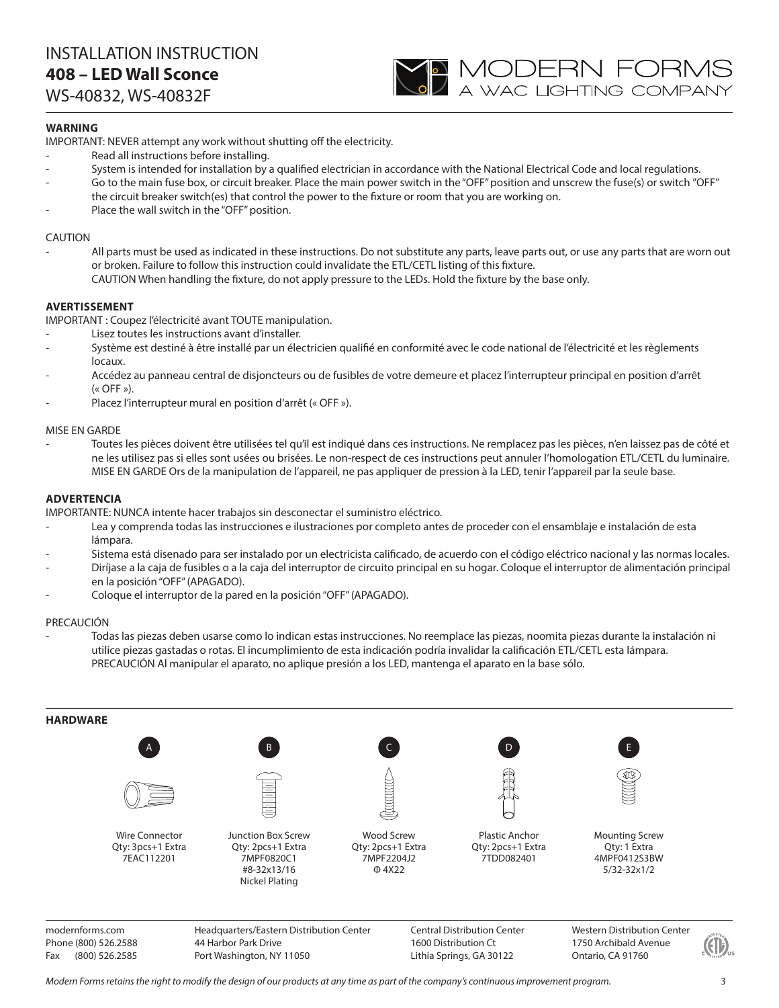# INSTALLATION INSTRUCTION **408 – LED Wall Sconce**

WS-40832, WS-40832F



## **WARNING**

IMPORTANT: NEVER attempt any work without shutting off the electricity.

- Read all instructions before installing.
- System is intended for installation by a qualified electrician in accordance with the National Electrical Code and local regulations.
- Go to the main fuse box, or circuit breaker. Place the main power switch in the "OFF" position and unscrew the fuse(s) or switch "OFF" the circuit breaker switch(es) that control the power to the fixture or room that you are working on.
- Place the wall switch in the "OFF" position.

## CAUTION

All parts must be used as indicated in these instructions. Do not substitute any parts, leave parts out, or use any parts that are worn out or broken. Failure to follow this instruction could invalidate the ETL/CETL listing of this fixture. CAUTION When handling the fixture, do not apply pressure to the LEDs. Hold the fixture by the base only.

## **AVERTISSEMENT**

IMPORTANT : Coupez l'électricité avant TOUTE manipulation.

- Lisez toutes les instructions avant d'installer.
- Système est destiné à être installé par un électricien qualifié en conformité avec le code national de l'électricité et les règlements locaux.
- Accédez au panneau central de disjoncteurs ou de fusibles de votre demeure et placez l'interrupteur principal en position d'arrêt  $(\kappa$  OFF »).
- Placez l'interrupteur mural en position d'arrêt (« OFF »).

## MISE EN GARDE

- Toutes les pièces doivent être utilisées tel qu'il est indiqué dans ces instructions. Ne remplacez pas les pièces, n'en laissez pas de côté et ne les utilisez pas si elles sont usées ou brisées. Le non-respect de ces instructions peut annuler l'homologation ETL/CETL du luminaire. MISE EN GARDE Ors de la manipulation de l'appareil, ne pas appliquer de pression à la LED, tenir l'appareil par la seule base.

#### **ADVERTENCIA**

IMPORTANTE: NUNCA intente hacer trabajos sin desconectar el suministro eléctrico.

- Lea y comprenda todas las instrucciones e ilustraciones por completo antes de proceder con el ensamblaje e instalación de esta lámpara.
- Sistema está disenado para ser instalado por un electricista calificado, de acuerdo con el código eléctrico nacional y las normas locales.
- Diríjase a la caja de fusibles o a la caja del interruptor de circuito principal en su hogar. Coloque el interruptor de alimentación principal en la posición "OFF" (APAGADO).
- Coloque el interruptor de la pared en la posición "OFF" (APAGADO).

## PRECAUCIÓN

- Todas las piezas deben usarse como lo indican estas instrucciones. No reemplace las piezas, noomita piezas durante la instalación ni utilice piezas gastadas o rotas. El incumplimiento de esta indicación podría invalidar la calificación ETL/CETL esta lámpara. PRECAUCIÓN Al manipular el aparato, no aplique presión a los LED, mantenga el aparato en la base sólo.